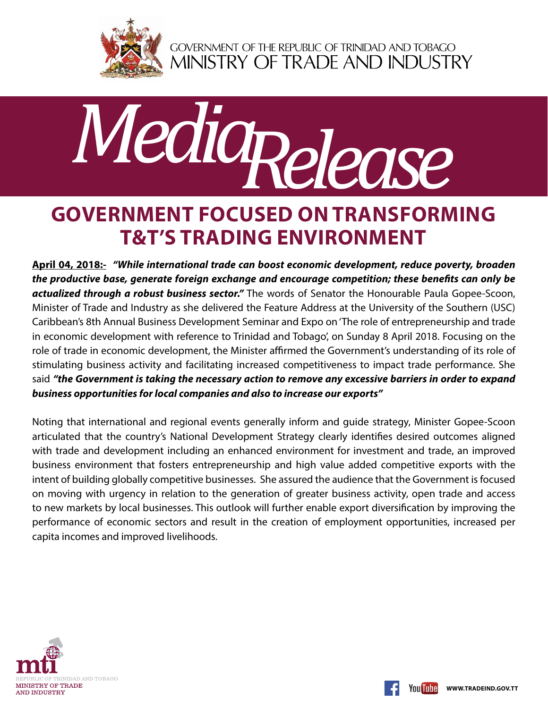

GOVERNMENT OF THE REPUBLIC OF TRINIDAD AND TOBAGO<br>MINISTRY OF TRADE AND INDUSTRY



## **Government focused on transforming T&T's trading environment**

**April 04, 2018:-** *"While international trade can boost economic development, reduce poverty, broaden the productive base, generate foreign exchange and encourage competition; these benefits can only be actualized through a robust business sector."* The words of Senator the Honourable Paula Gopee-Scoon, Minister of Trade and Industry as she delivered the Feature Address at the University of the Southern (USC) Caribbean's 8th Annual Business Development Seminar and Expo on 'The role of entrepreneurship and trade in economic development with reference to Trinidad and Tobago', on Sunday 8 April 2018. Focusing on the role of trade in economic development, the Minister affirmed the Government's understanding of its role of stimulating business activity and facilitating increased competitiveness to impact trade performance. She said *"the Government is taking the necessary action to remove any excessive barriers in order to expand business opportunities for local companies and also to increase our exports"*

Noting that international and regional events generally inform and guide strategy, Minister Gopee-Scoon articulated that the country's National Development Strategy clearly identifies desired outcomes aligned with trade and development including an enhanced environment for investment and trade, an improved business environment that fosters entrepreneurship and high value added competitive exports with the intent of building globally competitive businesses. She assured the audience that the Government is focused on moving with urgency in relation to the generation of greater business activity, open trade and access to new markets by local businesses. This outlook will further enable export diversification by improving the performance of economic sectors and result in the creation of employment opportunities, increased per capita incomes and improved livelihoods.